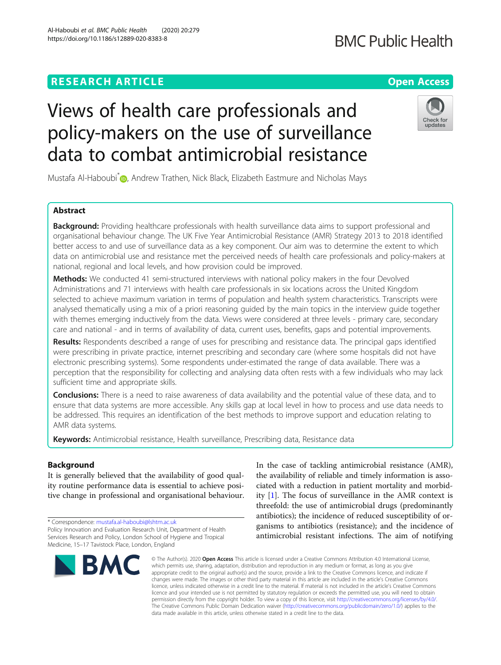# **RESEARCH ARTICLE Example 2014 12:30 The Contract of Contract ACCESS**

# Views of health care professionals and policy-makers on the use of surveillance data to combat antimicrobial resistance

Mustafa Al-Haboubi<sup>[\\*](http://orcid.org/0000-0001-9847-2206)</sup> , Andrew Trathen, Nick Black, Elizabeth Eastmure and Nicholas Mays

# Abstract

Background: Providing healthcare professionals with health surveillance data aims to support professional and organisational behaviour change. The UK Five Year Antimicrobial Resistance (AMR) Strategy 2013 to 2018 identified better access to and use of surveillance data as a key component. Our aim was to determine the extent to which data on antimicrobial use and resistance met the perceived needs of health care professionals and policy-makers at national, regional and local levels, and how provision could be improved.

Methods: We conducted 41 semi-structured interviews with national policy makers in the four Devolved Administrations and 71 interviews with health care professionals in six locations across the United Kingdom selected to achieve maximum variation in terms of population and health system characteristics. Transcripts were analysed thematically using a mix of a priori reasoning guided by the main topics in the interview guide together with themes emerging inductively from the data. Views were considered at three levels - primary care, secondary care and national - and in terms of availability of data, current uses, benefits, gaps and potential improvements.

Results: Respondents described a range of uses for prescribing and resistance data. The principal gaps identified were prescribing in private practice, internet prescribing and secondary care (where some hospitals did not have electronic prescribing systems). Some respondents under-estimated the range of data available. There was a perception that the responsibility for collecting and analysing data often rests with a few individuals who may lack sufficient time and appropriate skills.

Conclusions: There is a need to raise awareness of data availability and the potential value of these data, and to ensure that data systems are more accessible. Any skills gap at local level in how to process and use data needs to be addressed. This requires an identification of the best methods to improve support and education relating to AMR data systems.

Keywords: Antimicrobial resistance, Health surveillance, Prescribing data, Resistance data

# Background

It is generally believed that the availability of good quality routine performance data is essential to achieve positive change in professional and organisational behaviour.

\* Correspondence: [mustafa.al-haboubi@lshtm.ac.uk](mailto:mustafa.al-haboubi@lshtm.ac.uk)

In the case of tackling antimicrobial resistance (AMR), the availability of reliable and timely information is associated with a reduction in patient mortality and morbidity [[1\]](#page-9-0). The focus of surveillance in the AMR context is threefold: the use of antimicrobial drugs (predominantly antibiotics); the incidence of reduced susceptibility of organisms to antibiotics (resistance); and the incidence of antimicrobial resistant infections. The aim of notifying

© The Author(s), 2020 **Open Access** This article is licensed under a Creative Commons Attribution 4.0 International License, which permits use, sharing, adaptation, distribution and reproduction in any medium or format, as long as you give appropriate credit to the original author(s) and the source, provide a link to the Creative Commons licence, and indicate if changes were made. The images or other third party material in this article are included in the article's Creative Commons licence, unless indicated otherwise in a credit line to the material. If material is not included in the article's Creative Commons licence and your intended use is not permitted by statutory regulation or exceeds the permitted use, you will need to obtain permission directly from the copyright holder. To view a copy of this licence, visit [http://creativecommons.org/licenses/by/4.0/.](http://creativecommons.org/licenses/by/4.0/) The Creative Commons Public Domain Dedication waiver [\(http://creativecommons.org/publicdomain/zero/1.0/](http://creativecommons.org/publicdomain/zero/1.0/)) applies to the data made available in this article, unless otherwise stated in a credit line to the data.







Policy Innovation and Evaluation Research Unit, Department of Health Services Research and Policy, London School of Hygiene and Tropical Medicine, 15–17 Tavistock Place, London, England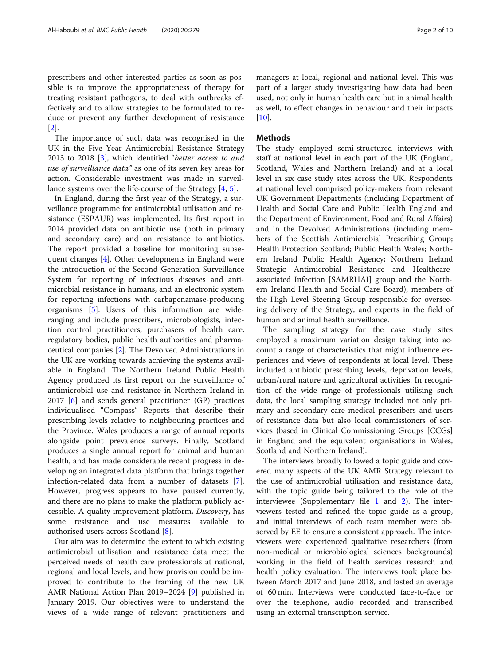prescribers and other interested parties as soon as possible is to improve the appropriateness of therapy for treating resistant pathogens, to deal with outbreaks effectively and to allow strategies to be formulated to reduce or prevent any further development of resistance [[2\]](#page-9-0).

The importance of such data was recognised in the UK in the Five Year Antimicrobial Resistance Strategy 2013 to 2018 [\[3](#page-9-0)], which identified "better access to and use of surveillance data" as one of its seven key areas for action. Considerable investment was made in surveillance systems over the life-course of the Strategy [\[4,](#page-9-0) [5\]](#page-9-0).

In England, during the first year of the Strategy, a surveillance programme for antimicrobial utilisation and resistance (ESPAUR) was implemented. Its first report in 2014 provided data on antibiotic use (both in primary and secondary care) and on resistance to antibiotics. The report provided a baseline for monitoring subsequent changes [\[4](#page-9-0)]. Other developments in England were the introduction of the Second Generation Surveillance System for reporting of infectious diseases and antimicrobial resistance in humans, and an electronic system for reporting infections with carbapenamase-producing organisms [[5](#page-9-0)]. Users of this information are wideranging and include prescribers, microbiologists, infection control practitioners, purchasers of health care, regulatory bodies, public health authorities and pharmaceutical companies [\[2](#page-9-0)]. The Devolved Administrations in the UK are working towards achieving the systems available in England. The Northern Ireland Public Health Agency produced its first report on the surveillance of antimicrobial use and resistance in Northern Ireland in 2017 [\[6](#page-9-0)] and sends general practitioner (GP) practices individualised "Compass" Reports that describe their prescribing levels relative to neighbouring practices and the Province. Wales produces a range of annual reports alongside point prevalence surveys. Finally, Scotland produces a single annual report for animal and human health, and has made considerable recent progress in developing an integrated data platform that brings together infection-related data from a number of datasets [\[7](#page-9-0)]. However, progress appears to have paused currently, and there are no plans to make the platform publicly accessible. A quality improvement platform, Discovery, has some resistance and use measures available to authorised users across Scotland [[8\]](#page-9-0).

Our aim was to determine the extent to which existing antimicrobial utilisation and resistance data meet the perceived needs of health care professionals at national, regional and local levels, and how provision could be improved to contribute to the framing of the new UK AMR National Action Plan 2019–2024 [\[9](#page-9-0)] published in January 2019. Our objectives were to understand the views of a wide range of relevant practitioners and managers at local, regional and national level. This was part of a larger study investigating how data had been used, not only in human health care but in animal health as well, to effect changes in behaviour and their impacts [[10\]](#page-9-0).

# **Methods**

The study employed semi-structured interviews with staff at national level in each part of the UK (England, Scotland, Wales and Northern Ireland) and at a local level in six case study sites across the UK. Respondents at national level comprised policy-makers from relevant UK Government Departments (including Department of Health and Social Care and Public Health England and the Department of Environment, Food and Rural Affairs) and in the Devolved Administrations (including members of the Scottish Antimicrobial Prescribing Group; Health Protection Scotland; Public Health Wales; Northern Ireland Public Health Agency; Northern Ireland Strategic Antimicrobial Resistance and Healthcareassociated Infection [SAMRHAI] group and the Northern Ireland Health and Social Care Board), members of the High Level Steering Group responsible for overseeing delivery of the Strategy, and experts in the field of human and animal health surveillance.

The sampling strategy for the case study sites employed a maximum variation design taking into account a range of characteristics that might influence experiences and views of respondents at local level. These included antibiotic prescribing levels, deprivation levels, urban/rural nature and agricultural activities. In recognition of the wide range of professionals utilising such data, the local sampling strategy included not only primary and secondary care medical prescribers and users of resistance data but also local commissioners of services (based in Clinical Commissioning Groups [CCGs] in England and the equivalent organisations in Wales, Scotland and Northern Ireland).

The interviews broadly followed a topic guide and covered many aspects of the UK AMR Strategy relevant to the use of antimicrobial utilisation and resistance data, with the topic guide being tailored to the role of the interviewee (Supplementary file [1](#page-9-0) and [2](#page-9-0)). The interviewers tested and refined the topic guide as a group, and initial interviews of each team member were observed by EE to ensure a consistent approach. The interviewers were experienced qualitative researchers (from non-medical or microbiological sciences backgrounds) working in the field of health services research and health policy evaluation. The interviews took place between March 2017 and June 2018, and lasted an average of 60 min. Interviews were conducted face-to-face or over the telephone, audio recorded and transcribed using an external transcription service.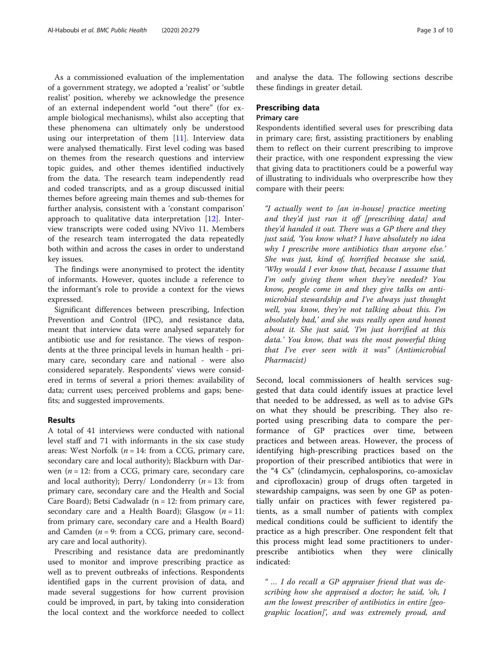As a commissioned evaluation of the implementation of a government strategy, we adopted a 'realist' or 'subtle realist' position, whereby we acknowledge the presence of an external independent world "out there" (for example biological mechanisms), whilst also accepting that these phenomena can ultimately only be understood using our interpretation of them [[11\]](#page-9-0). Interview data were analysed thematically. First level coding was based on themes from the research questions and interview topic guides, and other themes identified inductively from the data. The research team independently read and coded transcripts, and as a group discussed initial themes before agreeing main themes and sub-themes for further analysis, consistent with a 'constant comparison' approach to qualitative data interpretation [[12\]](#page-9-0). Interview transcripts were coded using NVivo 11. Members of the research team interrogated the data repeatedly both within and across the cases in order to understand key issues.

The findings were anonymised to protect the identity of informants. However, quotes include a reference to the informant's role to provide a context for the views expressed.

Significant differences between prescribing, Infection Prevention and Control (IPC), and resistance data, meant that interview data were analysed separately for antibiotic use and for resistance. The views of respondents at the three principal levels in human health - primary care, secondary care and national - were also considered separately. Respondents' views were considered in terms of several a priori themes: availability of data; current uses; perceived problems and gaps; benefits; and suggested improvements.

## Results

A total of 41 interviews were conducted with national level staff and 71 with informants in the six case study areas: West Norfolk ( $n = 14$ : from a CCG, primary care, secondary care and local authority); Blackburn with Darwen ( $n = 12$ : from a CCG, primary care, secondary care and local authority); Derry/ Londonderry ( $n = 13$ : from primary care, secondary care and the Health and Social Care Board); Betsi Cadwaladr ( $n = 12$ : from primary care, secondary care and a Health Board); Glasgow  $(n = 11)$ : from primary care, secondary care and a Health Board) and Camden ( $n = 9$ : from a CCG, primary care, secondary care and local authority).

Prescribing and resistance data are predominantly used to monitor and improve prescribing practice as well as to prevent outbreaks of infections. Respondents identified gaps in the current provision of data, and made several suggestions for how current provision could be improved, in part, by taking into consideration the local context and the workforce needed to collect and analyse the data. The following sections describe these findings in greater detail.

# Prescribing data Primary care

Respondents identified several uses for prescribing data in primary care; first, assisting practitioners by enabling them to reflect on their current prescribing to improve their practice, with one respondent expressing the view that giving data to practitioners could be a powerful way of illustrating to individuals who overprescribe how they compare with their peers:

"I actually went to [an in-house] practice meeting and they'd just run it off [prescribing data] and they'd handed it out. There was a GP there and they just said, 'You know what? I have absolutely no idea why I prescribe more antibiotics than anyone else.' She was just, kind of, horrified because she said, 'Why would I ever know that, because I assume that I'm only giving them when they're needed? You know, people come in and they give talks on antimicrobial stewardship and I've always just thought well, you know, they're not talking about this. I'm absolutely bad,' and she was really open and honest about it. She just said, 'I'm just horrified at this data.' You know, that was the most powerful thing that I've ever seen with it was" (Antimicrobial Pharmacist)

Second, local commissioners of health services suggested that data could identify issues at practice level that needed to be addressed, as well as to advise GPs on what they should be prescribing. They also reported using prescribing data to compare the performance of GP practices over time, between practices and between areas. However, the process of identifying high-prescribing practices based on the proportion of their prescribed antibiotics that were in the "4 Cs" (clindamycin, cephalosporins, co-amoxiclav and ciprofloxacin) group of drugs often targeted in stewardship campaigns, was seen by one GP as potentially unfair on practices with fewer registered patients, as a small number of patients with complex medical conditions could be sufficient to identify the practice as a high prescriber. One respondent felt that this process might lead some practitioners to underprescribe antibiotics when they were clinically indicated:

" … I do recall a GP appraiser friend that was describing how she appraised a doctor; he said, 'oh, I am the lowest prescriber of antibiotics in entire [geographic location]', and was extremely proud, and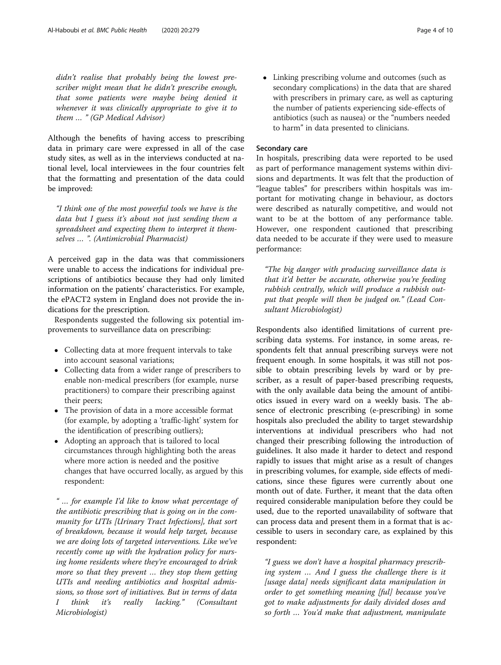didn't realise that probably being the lowest prescriber might mean that he didn't prescribe enough, that some patients were maybe being denied it whenever it was clinically appropriate to give it to them … " (GP Medical Advisor)

Although the benefits of having access to prescribing data in primary care were expressed in all of the case study sites, as well as in the interviews conducted at national level, local interviewees in the four countries felt that the formatting and presentation of the data could be improved:

"I think one of the most powerful tools we have is the data but I guess it's about not just sending them a spreadsheet and expecting them to interpret it themselves … ". (Antimicrobial Pharmacist)

A perceived gap in the data was that commissioners were unable to access the indications for individual prescriptions of antibiotics because they had only limited information on the patients' characteristics. For example, the ePACT2 system in England does not provide the indications for the prescription.

Respondents suggested the following six potential improvements to surveillance data on prescribing:

- Collecting data at more frequent intervals to take into account seasonal variations;
- Collecting data from a wider range of prescribers to enable non-medical prescribers (for example, nurse practitioners) to compare their prescribing against their peers;
- The provision of data in a more accessible format (for example, by adopting a 'traffic-light' system for the identification of prescribing outliers);
- Adopting an approach that is tailored to local circumstances through highlighting both the areas where more action is needed and the positive changes that have occurred locally, as argued by this respondent:

" … for example I'd like to know what percentage of the antibiotic prescribing that is going on in the community for UTIs [Urinary Tract Infections], that sort of breakdown, because it would help target, because we are doing lots of targeted interventions. Like we've recently come up with the hydration policy for nursing home residents where they're encouraged to drink more so that they prevent … they stop them getting UTIs and needing antibiotics and hospital admissions, so those sort of initiatives. But in terms of data I think it's really lacking." (Consultant Microbiologist)

 Linking prescribing volume and outcomes (such as secondary complications) in the data that are shared with prescribers in primary care, as well as capturing the number of patients experiencing side-effects of antibiotics (such as nausea) or the "numbers needed to harm" in data presented to clinicians.

# Secondary care

In hospitals, prescribing data were reported to be used as part of performance management systems within divisions and departments. It was felt that the production of "league tables" for prescribers within hospitals was important for motivating change in behaviour, as doctors were described as naturally competitive, and would not want to be at the bottom of any performance table. However, one respondent cautioned that prescribing data needed to be accurate if they were used to measure performance:

"The big danger with producing surveillance data is that it'd better be accurate, otherwise you're feeding rubbish centrally, which will produce a rubbish output that people will then be judged on." (Lead Consultant Microbiologist)

Respondents also identified limitations of current prescribing data systems. For instance, in some areas, respondents felt that annual prescribing surveys were not frequent enough. In some hospitals, it was still not possible to obtain prescribing levels by ward or by prescriber, as a result of paper-based prescribing requests, with the only available data being the amount of antibiotics issued in every ward on a weekly basis. The absence of electronic prescribing (e-prescribing) in some hospitals also precluded the ability to target stewardship interventions at individual prescribers who had not changed their prescribing following the introduction of guidelines. It also made it harder to detect and respond rapidly to issues that might arise as a result of changes in prescribing volumes, for example, side effects of medications, since these figures were currently about one month out of date. Further, it meant that the data often required considerable manipulation before they could be used, due to the reported unavailability of software that can process data and present them in a format that is accessible to users in secondary care, as explained by this respondent:

"I guess we don't have a hospital pharmacy prescribing system … And I guess the challenge there is it [usage data] needs significant data manipulation in order to get something meaning [ful] because you've got to make adjustments for daily divided doses and so forth … You'd make that adjustment, manipulate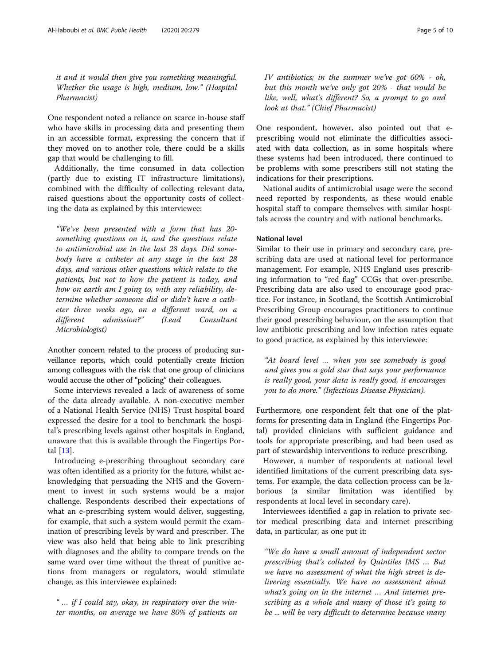it and it would then give you something meaningful. Whether the usage is high, medium, low." (Hospital Pharmacist)

One respondent noted a reliance on scarce in-house staff who have skills in processing data and presenting them in an accessible format, expressing the concern that if they moved on to another role, there could be a skills gap that would be challenging to fill.

Additionally, the time consumed in data collection (partly due to existing IT infrastructure limitations), combined with the difficulty of collecting relevant data, raised questions about the opportunity costs of collecting the data as explained by this interviewee:

"We've been presented with a form that has 20 something questions on it, and the questions relate to antimicrobial use in the last 28 days. Did somebody have a catheter at any stage in the last 28 days, and various other questions which relate to the patients, but not to how the patient is today, and how on earth am I going to, with any reliability, determine whether someone did or didn't have a catheter three weeks ago, on a different ward, on a different admission?" (Lead Consultant Microbiologist)

Another concern related to the process of producing surveillance reports, which could potentially create friction among colleagues with the risk that one group of clinicians would accuse the other of "policing" their colleagues.

Some interviews revealed a lack of awareness of some of the data already available. A non-executive member of a National Health Service (NHS) Trust hospital board expressed the desire for a tool to benchmark the hospital's prescribing levels against other hospitals in England, unaware that this is available through the Fingertips Portal [[13\]](#page-9-0).

Introducing e-prescribing throughout secondary care was often identified as a priority for the future, whilst acknowledging that persuading the NHS and the Government to invest in such systems would be a major challenge. Respondents described their expectations of what an e-prescribing system would deliver, suggesting, for example, that such a system would permit the examination of prescribing levels by ward and prescriber. The view was also held that being able to link prescribing with diagnoses and the ability to compare trends on the same ward over time without the threat of punitive actions from managers or regulators, would stimulate change, as this interviewee explained:

" … if I could say, okay, in respiratory over the winter months, on average we have 80% of patients on IV antibiotics; in the summer we've got 60% - oh, but this month we've only got 20% - that would be like, well, what's different? So, a prompt to go and look at that." (Chief Pharmacist)

One respondent, however, also pointed out that eprescribing would not eliminate the difficulties associated with data collection, as in some hospitals where these systems had been introduced, there continued to be problems with some prescribers still not stating the indications for their prescriptions.

National audits of antimicrobial usage were the second need reported by respondents, as these would enable hospital staff to compare themselves with similar hospitals across the country and with national benchmarks.

# National level

Similar to their use in primary and secondary care, prescribing data are used at national level for performance management. For example, NHS England uses prescribing information to "red flag" CCGs that over-prescribe. Prescribing data are also used to encourage good practice. For instance, in Scotland, the Scottish Antimicrobial Prescribing Group encourages practitioners to continue their good prescribing behaviour, on the assumption that low antibiotic prescribing and low infection rates equate to good practice, as explained by this interviewee:

"At board level … when you see somebody is good and gives you a gold star that says your performance is really good, your data is really good, it encourages you to do more." (Infectious Disease Physician).

Furthermore, one respondent felt that one of the platforms for presenting data in England (the Fingertips Portal) provided clinicians with sufficient guidance and tools for appropriate prescribing, and had been used as part of stewardship interventions to reduce prescribing.

However, a number of respondents at national level identified limitations of the current prescribing data systems. For example, the data collection process can be laborious (a similar limitation was identified by respondents at local level in secondary care).

Interviewees identified a gap in relation to private sector medical prescribing data and internet prescribing data, in particular, as one put it:

"We do have a small amount of independent sector prescribing that's collated by Quintiles IMS … But we have no assessment of what the high street is delivering essentially. We have no assessment about what's going on in the internet ... And internet prescribing as a whole and many of those it's going to be ... will be very difficult to determine because many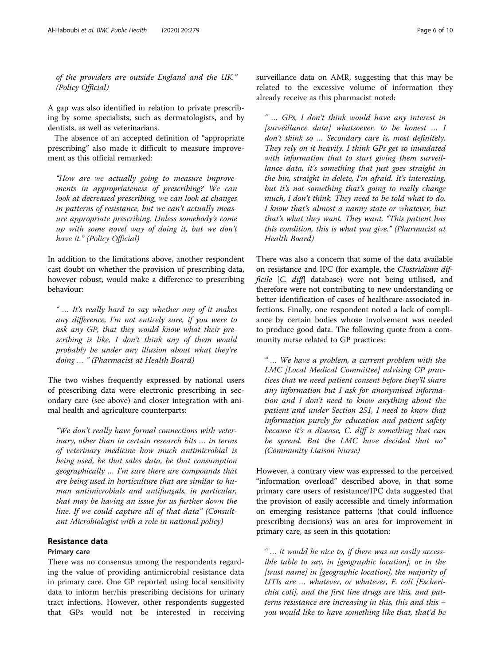of the providers are outside England and the UK." (Policy Official)

A gap was also identified in relation to private prescribing by some specialists, such as dermatologists, and by dentists, as well as veterinarians.

The absence of an accepted definition of "appropriate prescribing" also made it difficult to measure improvement as this official remarked:

"How are we actually going to measure improvements in appropriateness of prescribing? We can look at decreased prescribing, we can look at changes in patterns of resistance, but we can't actually measure appropriate prescribing. Unless somebody's come up with some novel way of doing it, but we don't have it." (Policy Official)

In addition to the limitations above, another respondent cast doubt on whether the provision of prescribing data, however robust, would make a difference to prescribing behaviour:

" … It's really hard to say whether any of it makes any difference, I'm not entirely sure, if you were to ask any GP, that they would know what their prescribing is like, I don't think any of them would probably be under any illusion about what they're doing … " (Pharmacist at Health Board)

The two wishes frequently expressed by national users of prescribing data were electronic prescribing in secondary care (see above) and closer integration with animal health and agriculture counterparts:

"We don't really have formal connections with veterinary, other than in certain research bits … in terms of veterinary medicine how much antimicrobial is being used, be that sales data, be that consumption geographically … I'm sure there are compounds that are being used in horticulture that are similar to human antimicrobials and antifungals, in particular, that may be having an issue for us further down the line. If we could capture all of that data" (Consultant Microbiologist with a role in national policy)

# Resistance data

# Primary care

There was no consensus among the respondents regarding the value of providing antimicrobial resistance data in primary care. One GP reported using local sensitivity data to inform her/his prescribing decisions for urinary tract infections. However, other respondents suggested that GPs would not be interested in receiving surveillance data on AMR, suggesting that this may be related to the excessive volume of information they already receive as this pharmacist noted:

" … GPs, I don't think would have any interest in [surveillance data] whatsoever, to be honest … I don't think so … Secondary care is, most definitely. They rely on it heavily. I think GPs get so inundated with information that to start giving them surveillance data, it's something that just goes straight in the bin, straight in delete, I'm afraid. It's interesting, but it's not something that's going to really change much, I don't think. They need to be told what to do. I know that's almost a nanny state or whatever, but that's what they want. They want, "This patient has this condition, this is what you give." (Pharmacist at Health Board)

There was also a concern that some of the data available on resistance and IPC (for example, the Clostridium difficile [C. diff] database) were not being utilised, and therefore were not contributing to new understanding or better identification of cases of healthcare-associated infections. Finally, one respondent noted a lack of compliance by certain bodies whose involvement was needed to produce good data. The following quote from a community nurse related to GP practices:

" … We have a problem, a current problem with the LMC [Local Medical Committee] advising GP practices that we need patient consent before they'll share any information but I ask for anonymised information and I don't need to know anything about the patient and under Section 251, I need to know that information purely for education and patient safety because it's a disease, C. diff is something that can be spread. But the LMC have decided that no" (Community Liaison Nurse)

However, a contrary view was expressed to the perceived "information overload" described above, in that some primary care users of resistance/IPC data suggested that the provision of easily accessible and timely information on emerging resistance patterns (that could influence prescribing decisions) was an area for improvement in primary care, as seen in this quotation:

" … it would be nice to, if there was an easily accessible table to say, in [geographic location], or in the [trust name] in [geographic location], the majority of UTIs are … whatever, or whatever, E. coli [Escherichia coli], and the first line drugs are this, and patterns resistance are increasing in this, this and this – you would like to have something like that, that'd be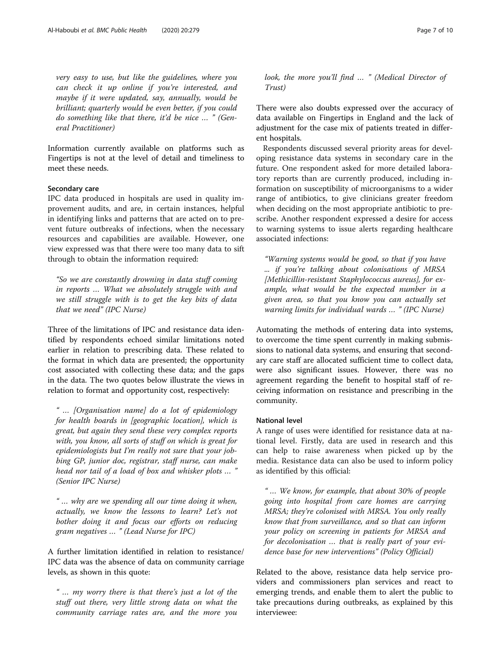very easy to use, but like the guidelines, where you can check it up online if you're interested, and maybe if it were updated, say, annually, would be brilliant; quarterly would be even better, if you could do something like that there, it'd be nice … " (General Practitioner)

Information currently available on platforms such as Fingertips is not at the level of detail and timeliness to meet these needs.

# Secondary care

IPC data produced in hospitals are used in quality improvement audits, and are, in certain instances, helpful in identifying links and patterns that are acted on to prevent future outbreaks of infections, when the necessary resources and capabilities are available. However, one view expressed was that there were too many data to sift through to obtain the information required:

"So we are constantly drowning in data stuff coming in reports … What we absolutely struggle with and we still struggle with is to get the key bits of data that we need" (IPC Nurse)

Three of the limitations of IPC and resistance data identified by respondents echoed similar limitations noted earlier in relation to prescribing data. These related to the format in which data are presented; the opportunity cost associated with collecting these data; and the gaps in the data. The two quotes below illustrate the views in relation to format and opportunity cost, respectively:

" … [Organisation name] do a lot of epidemiology for health boards in [geographic location], which is great, but again they send these very complex reports with, you know, all sorts of stuff on which is great for epidemiologists but I'm really not sure that your jobbing GP, junior doc, registrar, staff nurse, can make head nor tail of a load of box and whisker plots … " (Senior IPC Nurse)

" … why are we spending all our time doing it when, actually, we know the lessons to learn? Let's not bother doing it and focus our efforts on reducing gram negatives … " (Lead Nurse for IPC)

A further limitation identified in relation to resistance/ IPC data was the absence of data on community carriage levels, as shown in this quote:

" … my worry there is that there's just a lot of the stuff out there, very little strong data on what the community carriage rates are, and the more you

look, the more you'll find … " (Medical Director of Trust)

There were also doubts expressed over the accuracy of data available on Fingertips in England and the lack of adjustment for the case mix of patients treated in different hospitals.

Respondents discussed several priority areas for developing resistance data systems in secondary care in the future. One respondent asked for more detailed laboratory reports than are currently produced, including information on susceptibility of microorganisms to a wider range of antibiotics, to give clinicians greater freedom when deciding on the most appropriate antibiotic to prescribe. Another respondent expressed a desire for access to warning systems to issue alerts regarding healthcare associated infections:

"Warning systems would be good, so that if you have ... if you're talking about colonisations of MRSA [Methicillin-resistant Staphylococcus aureus], for example, what would be the expected number in a given area, so that you know you can actually set warning limits for individual wards … " (IPC Nurse)

Automating the methods of entering data into systems, to overcome the time spent currently in making submissions to national data systems, and ensuring that secondary care staff are allocated sufficient time to collect data, were also significant issues. However, there was no agreement regarding the benefit to hospital staff of receiving information on resistance and prescribing in the community.

# National level

A range of uses were identified for resistance data at national level. Firstly, data are used in research and this can help to raise awareness when picked up by the media. Resistance data can also be used to inform policy as identified by this official:

" … We know, for example, that about 30% of people going into hospital from care homes are carrying MRSA; they're colonised with MRSA. You only really know that from surveillance, and so that can inform your policy on screening in patients for MRSA and for decolonisation … that is really part of your evidence base for new interventions" (Policy Official)

Related to the above, resistance data help service providers and commissioners plan services and react to emerging trends, and enable them to alert the public to take precautions during outbreaks, as explained by this interviewee: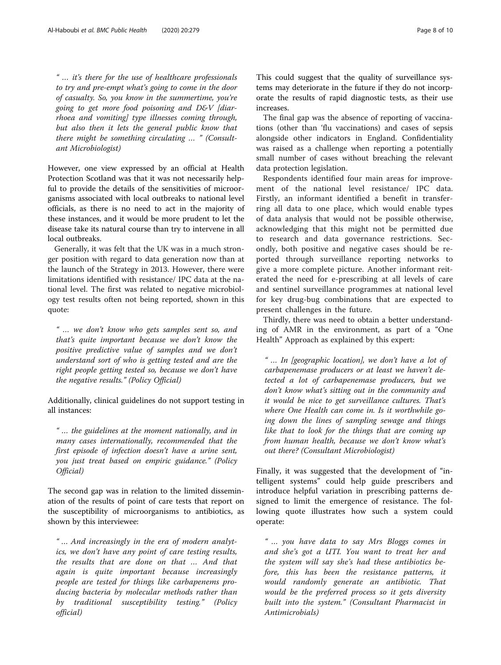" … it's there for the use of healthcare professionals to try and pre-empt what's going to come in the door of casualty. So, you know in the summertime, you're going to get more food poisoning and D&V [diarrhoea and vomiting] type illnesses coming through, but also then it lets the general public know that there might be something circulating … " (Consultant Microbiologist)

However, one view expressed by an official at Health Protection Scotland was that it was not necessarily helpful to provide the details of the sensitivities of microorganisms associated with local outbreaks to national level officials, as there is no need to act in the majority of these instances, and it would be more prudent to let the disease take its natural course than try to intervene in all local outbreaks.

Generally, it was felt that the UK was in a much stronger position with regard to data generation now than at the launch of the Strategy in 2013. However, there were limitations identified with resistance/ IPC data at the national level. The first was related to negative microbiology test results often not being reported, shown in this quote:

" … we don't know who gets samples sent so, and that's quite important because we don't know the positive predictive value of samples and we don't understand sort of who is getting tested and are the right people getting tested so, because we don't have the negative results." (Policy Official)

Additionally, clinical guidelines do not support testing in all instances:

" … the guidelines at the moment nationally, and in many cases internationally, recommended that the first episode of infection doesn't have a urine sent, you just treat based on empiric guidance." (Policy Official)

The second gap was in relation to the limited dissemination of the results of point of care tests that report on the susceptibility of microorganisms to antibiotics, as shown by this interviewee:

" … And increasingly in the era of modern analytics, we don't have any point of care testing results, the results that are done on that … And that again is quite important because increasingly people are tested for things like carbapenems producing bacteria by molecular methods rather than by traditional susceptibility testing." (Policy official)

This could suggest that the quality of surveillance systems may deteriorate in the future if they do not incorporate the results of rapid diagnostic tests, as their use increases.

The final gap was the absence of reporting of vaccinations (other than 'flu vaccinations) and cases of sepsis alongside other indicators in England. Confidentiality was raised as a challenge when reporting a potentially small number of cases without breaching the relevant data protection legislation.

Respondents identified four main areas for improvement of the national level resistance/ IPC data. Firstly, an informant identified a benefit in transferring all data to one place, which would enable types of data analysis that would not be possible otherwise, acknowledging that this might not be permitted due to research and data governance restrictions. Secondly, both positive and negative cases should be reported through surveillance reporting networks to give a more complete picture. Another informant reiterated the need for e-prescribing at all levels of care and sentinel surveillance programmes at national level for key drug-bug combinations that are expected to present challenges in the future.

Thirdly, there was need to obtain a better understanding of AMR in the environment, as part of a "One Health" Approach as explained by this expert:

" … In [geographic location], we don't have a lot of carbapenemase producers or at least we haven't detected a lot of carbapenemase producers, but we don't know what's sitting out in the community and it would be nice to get surveillance cultures. That's where One Health can come in. Is it worthwhile going down the lines of sampling sewage and things like that to look for the things that are coming up from human health, because we don't know what's out there? (Consultant Microbiologist)

Finally, it was suggested that the development of "intelligent systems" could help guide prescribers and introduce helpful variation in prescribing patterns designed to limit the emergence of resistance. The following quote illustrates how such a system could operate:

" … you have data to say Mrs Bloggs comes in and she's got a UTI. You want to treat her and the system will say she's had these antibiotics before, this has been the resistance patterns, it would randomly generate an antibiotic. That would be the preferred process so it gets diversity built into the system." (Consultant Pharmacist in Antimicrobials)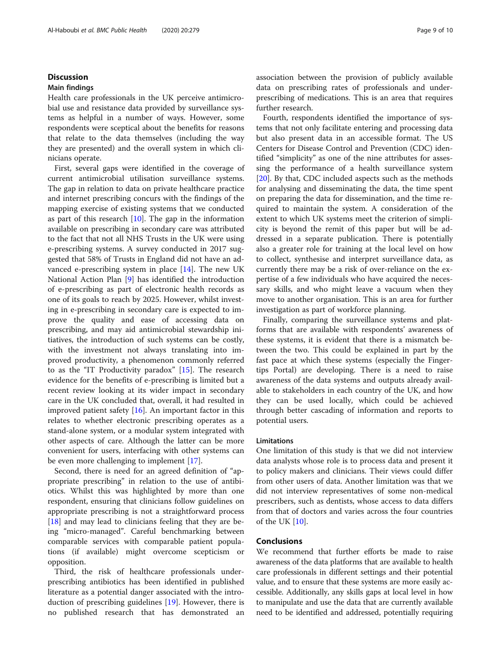# **Discussion**

# Main findings

Health care professionals in the UK perceive antimicrobial use and resistance data provided by surveillance systems as helpful in a number of ways. However, some respondents were sceptical about the benefits for reasons that relate to the data themselves (including the way they are presented) and the overall system in which clinicians operate.

First, several gaps were identified in the coverage of current antimicrobial utilisation surveillance systems. The gap in relation to data on private healthcare practice and internet prescribing concurs with the findings of the mapping exercise of existing systems that we conducted as part of this research [\[10](#page-9-0)]. The gap in the information available on prescribing in secondary care was attributed to the fact that not all NHS Trusts in the UK were using e-prescribing systems. A survey conducted in 2017 suggested that 58% of Trusts in England did not have an advanced e-prescribing system in place [\[14](#page-9-0)]. The new UK National Action Plan [[9\]](#page-9-0) has identified the introduction of e-prescribing as part of electronic health records as one of its goals to reach by 2025. However, whilst investing in e-prescribing in secondary care is expected to improve the quality and ease of accessing data on prescribing, and may aid antimicrobial stewardship initiatives, the introduction of such systems can be costly, with the investment not always translating into improved productivity, a phenomenon commonly referred to as the "IT Productivity paradox" [[15\]](#page-9-0). The research evidence for the benefits of e-prescribing is limited but a recent review looking at its wider impact in secondary care in the UK concluded that, overall, it had resulted in improved patient safety  $[16]$  $[16]$ . An important factor in this relates to whether electronic prescribing operates as a stand-alone system, or a modular system integrated with other aspects of care. Although the latter can be more convenient for users, interfacing with other systems can be even more challenging to implement [[17\]](#page-9-0).

Second, there is need for an agreed definition of "appropriate prescribing" in relation to the use of antibiotics. Whilst this was highlighted by more than one respondent, ensuring that clinicians follow guidelines on appropriate prescribing is not a straightforward process [[18\]](#page-9-0) and may lead to clinicians feeling that they are being "micro-managed". Careful benchmarking between comparable services with comparable patient populations (if available) might overcome scepticism or opposition.

Third, the risk of healthcare professionals underprescribing antibiotics has been identified in published literature as a potential danger associated with the introduction of prescribing guidelines [\[19\]](#page-9-0). However, there is no published research that has demonstrated an association between the provision of publicly available data on prescribing rates of professionals and underprescribing of medications. This is an area that requires further research.

Fourth, respondents identified the importance of systems that not only facilitate entering and processing data but also present data in an accessible format. The US Centers for Disease Control and Prevention (CDC) identified "simplicity" as one of the nine attributes for assessing the performance of a health surveillance system [[20\]](#page-9-0). By that, CDC included aspects such as the methods for analysing and disseminating the data, the time spent on preparing the data for dissemination, and the time required to maintain the system. A consideration of the extent to which UK systems meet the criterion of simplicity is beyond the remit of this paper but will be addressed in a separate publication. There is potentially also a greater role for training at the local level on how to collect, synthesise and interpret surveillance data, as currently there may be a risk of over-reliance on the expertise of a few individuals who have acquired the necessary skills, and who might leave a vacuum when they move to another organisation. This is an area for further investigation as part of workforce planning.

Finally, comparing the surveillance systems and platforms that are available with respondents' awareness of these systems, it is evident that there is a mismatch between the two. This could be explained in part by the fast pace at which these systems (especially the Fingertips Portal) are developing. There is a need to raise awareness of the data systems and outputs already available to stakeholders in each country of the UK, and how they can be used locally, which could be achieved through better cascading of information and reports to potential users.

# Limitations

One limitation of this study is that we did not interview data analysts whose role is to process data and present it to policy makers and clinicians. Their views could differ from other users of data. Another limitation was that we did not interview representatives of some non-medical prescribers, such as dentists, whose access to data differs from that of doctors and varies across the four countries of the UK [\[10](#page-9-0)].

# Conclusions

We recommend that further efforts be made to raise awareness of the data platforms that are available to health care professionals in different settings and their potential value, and to ensure that these systems are more easily accessible. Additionally, any skills gaps at local level in how to manipulate and use the data that are currently available need to be identified and addressed, potentially requiring